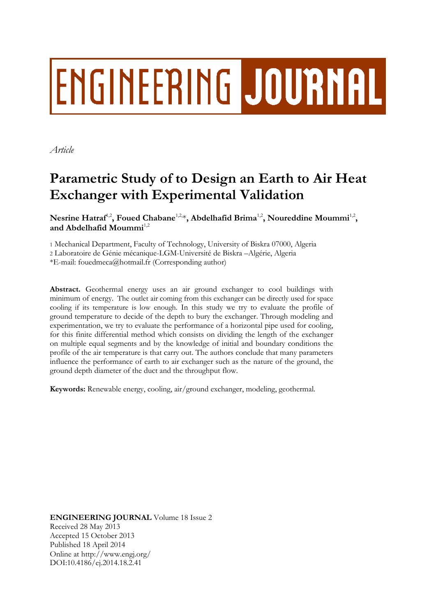# ENGINEERING JOURNAL

*Article*

# **Parametric Study of to Design an Earth to Air Heat Exchanger with Experimental Validation**

 $\mathbf{N}$ esrine Hatraf<sup>1,2</sup>, Foued Chabane<sup>1,2,4</sup>, Abdelhafid Brima<sup>1,2</sup>, Noureddine Moummi<sup>1,2</sup>, and Abdelhafid Moummi<sup>1,2</sup>

1 Mechanical Department, Faculty of Technology, University of Biskra 07000, Algeria 2 Laboratoire de Génie mécanique-LGM-Université de Biskra –Algérie, Algeria

\*E-mail: fouedmeca@hotmail.fr (Corresponding author)

**Abstract.** Geothermal energy uses an air ground exchanger to cool buildings with minimum of energy. The outlet air coming from this exchanger can be directly used for space cooling if its temperature is low enough. In this study we try to evaluate the profile of ground temperature to decide of the depth to bury the exchanger. Through modeling and experimentation, we try to evaluate the performance of a horizontal pipe used for cooling, for this finite differential method which consists on dividing the length of the exchanger on multiple equal segments and by the knowledge of initial and boundary conditions the profile of the air temperature is that carry out. The authors conclude that many parameters influence the performance of earth to air exchanger such as the nature of the ground, the ground depth diameter of the duct and the throughput flow.

**Keywords:** Renewable energy, cooling, air/ground exchanger, modeling, geothermal.

**ENGINEERING JOURNAL** Volume 18 Issue 2 Received 28 May 2013 Accepted 15 October 2013 Published 18 April 2014 Online at http://www.engj.org/ DOI:10.4186/ej.2014.18.2.41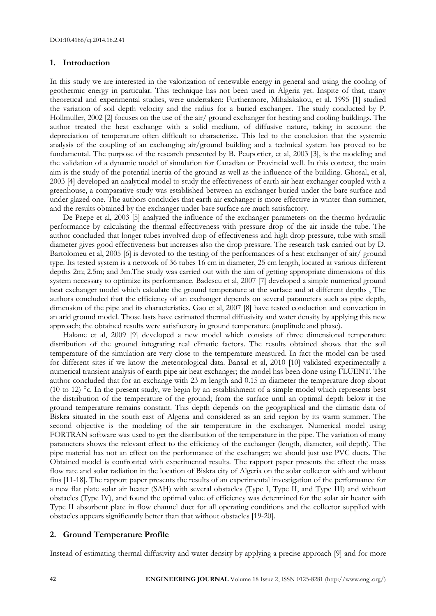#### **1. Introduction**

In this study we are interested in the valorization of renewable energy in general and using the cooling of geothermic energy in particular. This technique has not been used in Algeria yet. Inspite of that, many theoretical and experimental studies, were undertaken: Furthermore, Mihalakakou, et al. 1995 [1] studied the variation of soil depth velocity and the radius for a buried exchanger. The study conducted by P. Hollmuller, 2002 [2] focuses on the use of the air/ ground exchanger for heating and cooling buildings. The author treated the heat exchange with a solid medium, of diffusive nature, taking in account the depreciation of temperature often difficult to characterize. This led to the conclusion that the systemic analysis of the coupling of an exchanging air/ground building and a technical system has proved to be fundamental. The purpose of the research presented by B. Peuportier, et al, 2003 [3], is the modeling and the validation of a dynamic model of simulation for Canadian or Provincial well. In this context, the main aim is the study of the potential inertia of the ground as well as the influence of the building. Ghosal, et al, 2003 [4] developed an analytical model to study the effectiveness of earth air heat exchanger coupled with a greenhouse, a comparative study was established between an exchanger buried under the bare surface and under glazed one. The authors concludes that earth air exchanger is more effective in winter than summer, and the results obtained by the exchanger under bare surface are much satisfactory.

De Paepe et al, 2003 [5] analyzed the influence of the exchanger parameters on the thermo hydraulic performance by calculating the thermal effectiveness with pressure drop of the air inside the tube. The author concluded that longer tubes involved drop of effectiveness and high drop pressure, tube with small diameter gives good effectiveness but increases also the drop pressure. The research task carried out by D. Bartolomeu et al, 2005 [6] is devoted to the testing of the performances of a heat exchanger of air/ ground type. Its tested system is a network of 36 tubes 16 cm in diameter, 25 cm length, located at various different depths 2m; 2.5m; and 3m.The study was carried out with the aim of getting appropriate dimensions of this system necessary to optimize its performance. Badescu et al, 2007 [7] developed a simple numerical ground heat exchanger model which calculate the ground temperature at the surface and at different depths , The authors concluded that the efficiency of an exchanger depends on several parameters such as pipe depth, dimension of the pipe and its characteristics. Gao et al, 2007 [8] have tested conduction and convection in an arid ground model. Those lasts have estimated thermal diffusivity and water density by applying this new approach; the obtained results were satisfactory in ground temperature (amplitude and phase).

Hakane et al, 2009 [9] developed a new model which consists of three dimensional temperature distribution of the ground integrating real climatic factors. The results obtained shows that the soil temperature of the simulation are very close to the temperature measured. In fact the model can be used for different sites if we know the meteorological data. Bansal et al, 2010 [10] validated experimentally a numerical transient analysis of earth pipe air heat exchanger; the model has been done using FLUENT. The author concluded that for an exchange with 23 m length and 0.15 m diameter the temperature drop about (10 to 12) °c. In the present study, we begin by an establishment of a simple model which represents best the distribution of the temperature of the ground; from the surface until an optimal depth below it the ground temperature remains constant. This depth depends on the geographical and the climatic data of Biskra situated in the south east of Algeria and considered as an arid region by its warm summer. The second objective is the modeling of the air temperature in the exchanger. Numerical model using FORTRAN software was used to get the distribution of the temperature in the pipe. The variation of many parameters shows the relevant effect to the efficiency of the exchanger (length, diameter, soil depth). The pipe material has not an effect on the performance of the exchanger; we should just use PVC ducts. The Obtained model is confronted with experimental results. The rapport paper presents the effect the mass flow rate and solar radiation in the location of Biskra city of Algeria on the solar collector with and without fins [11-18]. The rapport paper presents the results of an experimental investigation of the performance for a new flat plate solar air heater (SAH) with several obstacles (Type I, Type II, and Type III) and without obstacles (Type IV), and found the optimal value of efficiency was determined for the solar air heater with Type II absorbent plate in flow channel duct for all operating conditions and the collector supplied with obstacles appears significantly better than that without obstacles [19-20].

## **2. Ground Temperature Profile**

Instead of estimating thermal diffusivity and water density by applying a precise approach [9] and for more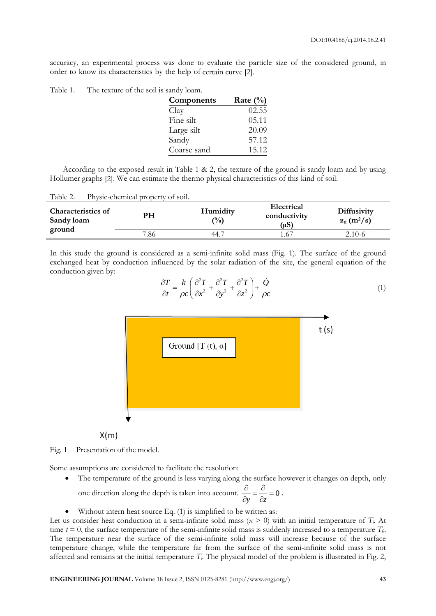accuracy, an experimental process was done to evaluate the particle size of the considered ground, in order to know its characteristics by the help of certain curve [2].

| Components  | Rate $(\%)$ |
|-------------|-------------|
| Clay        | 02.55       |
| Fine silt   | 05.11       |
| Large silt  | 20.09       |
| Sandy       | 57.12       |
| Coarse sand | 15.12       |

According to the exposed result in Table 1 & 2, the texture of the ground is sandy loam and by using Hollumer graphs [2]. We can estimate the thermo physical characteristics of this kind of soil.

| <b>Characteristics of</b><br>Sandy loam | PH   | Humidity<br>$\binom{0}{0}$ | Electrical<br>conductivity<br>(uS) | <b>Diffusivity</b><br>$\alpha_{\rm g}$ (m <sup>2</sup> /s) |
|-----------------------------------------|------|----------------------------|------------------------------------|------------------------------------------------------------|
| ground                                  | 7.86 | 44.7                       | 1.67                               | 2.10-6                                                     |

In this study the ground is considered as a semi-infinite solid mass (Fig. 1). The surface of the ground exchanged heat by conduction influenced by the solar radiation of the site, the general equation of the conduction given by:

$$
\frac{\partial T}{\partial t} = \frac{k}{\rho c} \left( \frac{\partial^2 T}{\partial x^2} + \frac{\partial^2 T}{\partial y^2} + \frac{\partial^2 T}{\partial z^2} \right) + \frac{\dot{Q}}{\rho c}
$$
(1)



 $X(m)$ 

Fig. 1 Presentation of the model.

Some assumptions are considered to facilitate the resolution:

• The temperature of the ground is less varying along the surface however it changes on depth, only

one direction along the depth is taken into account.  $\frac{0}{2} = \frac{0}{2} = 0$ *y z*  $\frac{\partial}{\partial t} = \frac{\partial}{\partial t} =$  $\partial y$   $\partial z$ .

Without intern heat source Eq. (1) is simplified to be written as:

Let us consider heat conduction in a semi-infinite solid mass  $(x > 0)$  with an initial temperature of  $T_i$ . At time *t* = 0, the surface temperature of the semi-infinite solid mass is suddenly increased to a temperature *T0*. The temperature near the surface of the semi-infinite solid mass will increase because of the surface temperature change, while the temperature far from the surface of the semi-infinite solid mass is not affected and remains at the initial temperature *Ti*. The physical model of the problem is illustrated in Fig. 2,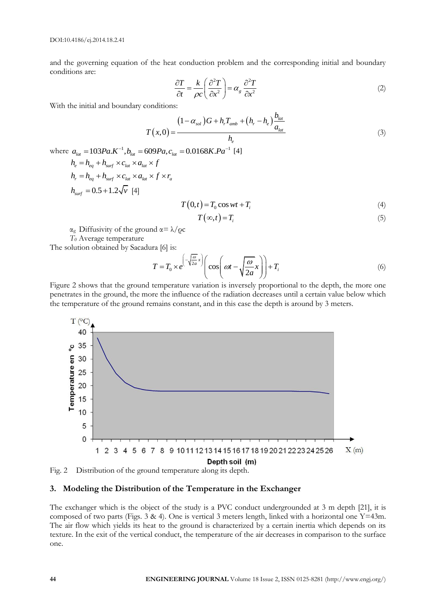and the governing equation of the heat conduction problem and the corresponding initial and boundary conditions are:

$$
\frac{\partial T}{\partial t} = \frac{k}{\rho c} \left( \frac{\partial^2 T}{\partial x^2} \right) = \alpha_s \frac{\partial^2 T}{\partial x^2}
$$
\n(2)

With the initial and boundary conditions:

$$
T(x,0) = \frac{(1-\alpha_{sol})G + h_r T_{amb} + (h_r - h_e) \frac{b_{lat}}{a_{lat}}}{h_e}
$$
\n(3)

where  $a_{\text{lat}} = 103Pa.K^{-1}, b_{\text{lat}} = 609Pa, c_{\text{lat}} = 0.0168K.Pa^{-1}$  [4]  $h = h + h \times c_{\alpha} \times a_{\alpha} \times f$ 

$$
h_r = h_{eq} + h_{surf} \times c_{lat} \times a_{lat} \times f \times r_a
$$
  
\n
$$
h_{surf} = 0.5 + 1.2\sqrt{v} \quad [4]
$$
  
\n
$$
T(0,t) = T_0 \cos wt + T_i
$$
 (4)

$$
T(\infty, t) = T_i \tag{5}
$$

 $\alpha_g$  Diffusivity of the ground  $\alpha = \lambda/\rho c$ 

*T<sup>0</sup>* Average temperature

The solution obtained by Sacadura [6] is:

ra [6] is:  
\n
$$
T = T_0 \times e^{-\left(\sqrt{\frac{\omega}{2a}}x\right)} \left(\cos\left(\omega t - \sqrt{\frac{\omega}{2a}}x\right)\right) + T_i
$$
\n(6)

Figure 2 shows that the ground temperature variation is inversely proportional to the depth, the more one penetrates in the ground, the more the influence of the radiation decreases until a certain value below which the temperature of the ground remains constant, and in this case the depth is around by 3 meters.



Fig. 2 Distribution of the ground temperature along its depth.

# **3. Modeling the Distribution of the Temperature in the Exchanger**

The exchanger which is the object of the study is a PVC conduct undergrounded at 3 m depth [21], it is composed of two parts (Figs. 3 & 4). One is vertical 3 meters length, linked with a horizontal one  $Y=43m$ . The air flow which yields its heat to the ground is characterized by a certain inertia which depends on its texture. In the exit of the vertical conduct, the temperature of the air decreases in comparison to the surface one.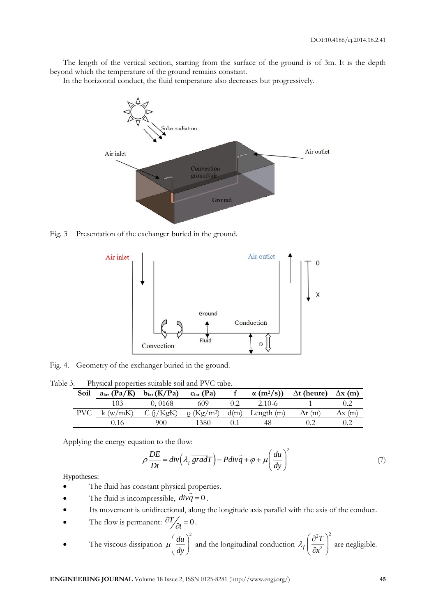The length of the vertical section, starting from the surface of the ground is of 3m. It is the depth beyond which the temperature of the ground remains constant.

In the horizontal conduct, the fluid temperature also decreases but progressively.



Fig. 3 Presentation of the exchanger buried in the ground.



Fig. 4. Geometry of the exchanger buried in the ground.

Table 3. Physical properties suitable soil and PVC tube.

| Soil  | $alat$ (Pa/K) | b <sub>lat</sub> (K/Pa) | $clat$ (Pa)                                            | $\alpha$ (m <sup>2</sup> /s)) | $\Delta t$ (heure) | $\Delta$ x (m)       |
|-------|---------------|-------------------------|--------------------------------------------------------|-------------------------------|--------------------|----------------------|
|       | 103           | 0.0168                  | 609                                                    | $2.10-6$                      |                    |                      |
| PVC - | k (w/mK)      |                         | $C(j/KgK)$ $\rho$ (Kg/m <sup>3</sup> ) d(m) Length (m) |                               | $\Delta$ r (m)     | $\Delta {\rm x~(m)}$ |
|       |               | 900                     | 1380                                                   | 48                            |                    |                      |

Applying the energy equation to the flow:

tion to the flow:  
\n
$$
\rho \frac{DE}{Dt} = div \left( \lambda_f \overline{gradT} \right) - Pdiv \overline{q} + \varphi + \mu \left( \frac{du}{dy} \right)^2 \tag{7}
$$

Hypotheses:

- The fluid has constant physical properties.
- The fluid is incompressible,  $div\vec{q} = 0$ .
- Its movement is unidirectional, along the longitude axis parallel with the axis of the conduct.
- The flow is permanent:  $\frac{\partial T}{\partial t} = 0$ .

• The viscous dissipation 
$$
\mu \left(\frac{du}{dy}\right)^2
$$
 and the longitudinal conduction  $\lambda_f \left(\frac{\partial^2 T}{\partial x^2}\right)^2$  are negligible.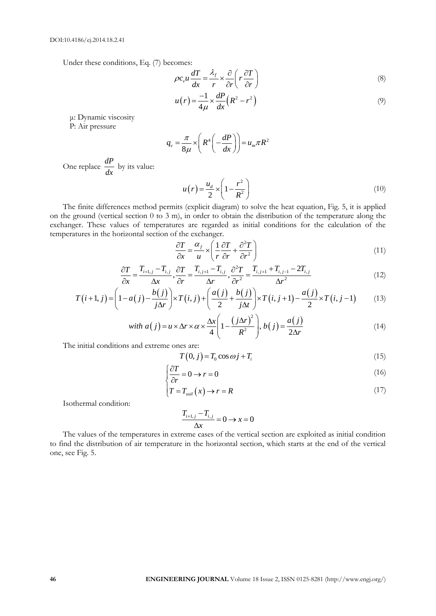Under these conditions, Eq. (7) becomes:

$$
\rho c_v u \frac{dT}{dx} = \frac{\lambda_f}{r} \times \frac{\partial}{\partial r} \left( r \frac{\partial T}{\partial r} \right)
$$
 (8)

$$
u(r) = \frac{-1}{4\mu} \times \frac{dP}{dx} \left(R^2 - r^2\right)
$$
\n<sup>(9)</sup>

μ: Dynamic viscosity

P: Air pressure

$$
q_{\nu} = \frac{\pi}{8\mu} \times \left( R^4 \left( -\frac{dP}{dx} \right) \right) = u_m \pi R^2
$$

One replace *dP dx* by its value:

$$
u(r) = \frac{u_d}{2} \times \left(1 - \frac{r^2}{R^2}\right)
$$
\n<sup>(10)</sup>

The finite differences method permits (explicit diagram) to solve the heat equation, Fig. 5, it is applied on the ground (vertical section 0 to 3 m), in order to obtain the distribution of the temperature along the exchanger. These values of temperatures are regarded as initial conditions for the calculation of the temperatures in the horizontal section of the exchanger.

$$
\frac{\partial T}{\partial x} = \frac{\alpha_f}{u} \times \left( \frac{1}{r} \frac{\partial T}{\partial r} + \frac{\partial^2 T}{\partial r^2} \right)
$$
(11)

$$
\frac{\partial T}{\partial x} = \frac{T_{i+1,j} - T_{i,j}}{\Delta x}, \frac{\partial T}{\partial r} = \frac{T_{i,j+1} - T_{i,j}}{\Delta r}, \frac{\partial^2 T}{\partial r^2} = \frac{T_{i,j+1} + T_{i,j-1} - 2T_{i,j}}{\Delta r^2}
$$
\n
$$
\left(1 - a(j) - \frac{b(j)}{\Delta t}\right) \times T(i,j) + \left(\frac{a(j)}{2} + \frac{b(j)}{\Delta t}\right) \times T(i,j+1) - \frac{a(j)}{2} \times T(i,j-1)
$$
\n(13)

$$
\frac{\partial T}{\partial x} = \frac{T_{i+1,j} - T_{i,j}}{\Delta x}, \frac{\partial T}{\partial r} = \frac{T_{i,j+1} - T_{i,j}}{\Delta r}, \frac{\partial^2 T}{\partial r^2} = \frac{T_{i,j+1} + T_{i,j-1} - 2T_{i,j}}{\Delta r^2}
$$
(12)  

$$
T(i+1,j) = \left(1 - a(j) - \frac{b(j)}{j\Delta r}\right) \times T(i,j) + \left(\frac{a(j)}{2} + \frac{b(j)}{j\Delta t}\right) \times T(i,j+1) - \frac{a(j)}{2} \times T(i,j-1)
$$
(13)  
with  $a(j) = \frac{y}{2} \times \frac{\Delta x}{2}$   $\left(1 - \left(j\Delta r\right)^2\right) = b(j) = a(j)$  (14)

with 
$$
a(j) = u \times \Delta r \times \alpha \times \frac{\Delta x}{4} \left( 1 - \frac{(j\Delta r)^2}{R^2} \right), b(j) = \frac{a(j)}{2\Delta r}
$$
 (14)

The initial conditions and extreme ones are:

$$
T(0,j) = T_0 \cos \omega j + T_i \tag{15}
$$

$$
\begin{cases} \frac{\partial T}{\partial r} = 0 \to r = 0 \end{cases}
$$
 (16)

$$
\left(T = T_{\text{sol}}\left(x\right) \to r = R\right) \tag{17}
$$

Isothermal condition:

$$
\frac{T_{i+1,j} - T_{i,j}}{\Delta x} = 0 \rightarrow x = 0
$$

The values of the temperatures in extreme cases of the vertical section are exploited as initial condition to find the distribution of air temperature in the horizontal section, which starts at the end of the vertical one, see Fig. 5.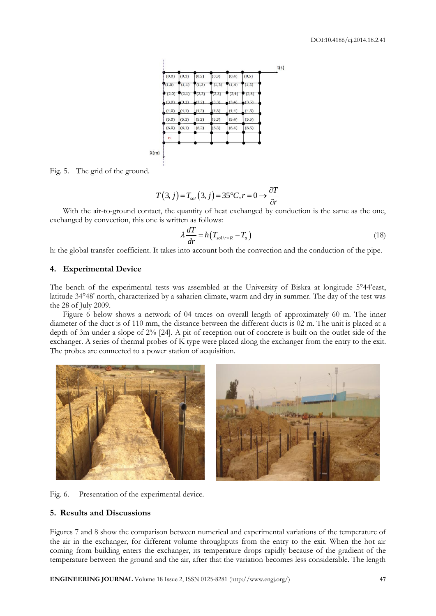

Fig. 5. The grid of the ground.

$$
T(3, j) = T_{sol}(3, j) = 35^{\circ}C, r = 0 \rightarrow \frac{\partial T}{\partial r}
$$

With the air-to-ground contact, the quantity of heat exchanged by conduction is the same as the one, exchanged by convection, this one is written as follows:

$$
\lambda \frac{dT}{dr} = h \left( T_{sol/r=R} - T_a \right) \tag{18}
$$

h: the global transfer coefficient. It takes into account both the convection and the conduction of the pipe.

# **4. Experimental Device**

The bench of the experimental tests was assembled at the University of Biskra at longitude 5°44'east, latitude 34°48' north, characterized by a saharien climate, warm and dry in summer. The day of the test was the 28 of July 2009.

Figure 6 below shows a network of 04 traces on overall length of approximately 60 m. The inner diameter of the duct is of 110 mm, the distance between the different ducts is 02 m. The unit is placed at a depth of 3m under a slope of 2% [24]. A pit of reception out of concrete is built on the outlet side of the exchanger. A series of thermal probes of K type were placed along the exchanger from the entry to the exit. The probes are connected to a power station of acquisition.





# **5. Results and Discussions**

Figures 7 and 8 show the comparison between numerical and experimental variations of the temperature of the air in the exchanger, for different volume throughputs from the entry to the exit. When the hot air coming from building enters the exchanger, its temperature drops rapidly because of the gradient of the temperature between the ground and the air, after that the variation becomes less considerable. The length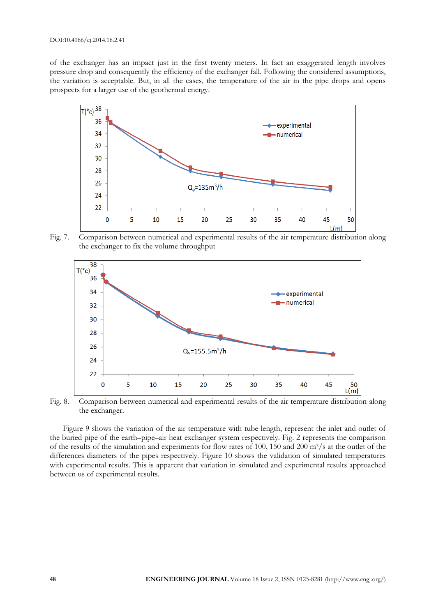of the exchanger has an impact just in the first twenty meters. In fact an exaggerated length involves pressure drop and consequently the efficiency of the exchanger fall. Following the considered assumptions, the variation is acceptable. But, in all the cases, the temperature of the air in the pipe drops and opens prospects for a larger use of the geothermal energy.



Fig. 7. Comparison between numerical and experimental results of the air temperature distribution along the exchanger to fix the volume throughput



Fig. 8. Comparison between numerical and experimental results of the air temperature distribution along the exchanger.

Figure 9 shows the variation of the air temperature with tube length, represent the inlet and outlet of the buried pipe of the earth–pipe–air heat exchanger system respectively. Fig. 2 represents the comparison of the results of the simulation and experiments for flow rates of 100, 150 and 200 m<sup>3</sup>/s at the outlet of the differences diameters of the pipes respectively. Figure 10 shows the validation of simulated temperatures with experimental results. This is apparent that variation in simulated and experimental results approached between us of experimental results.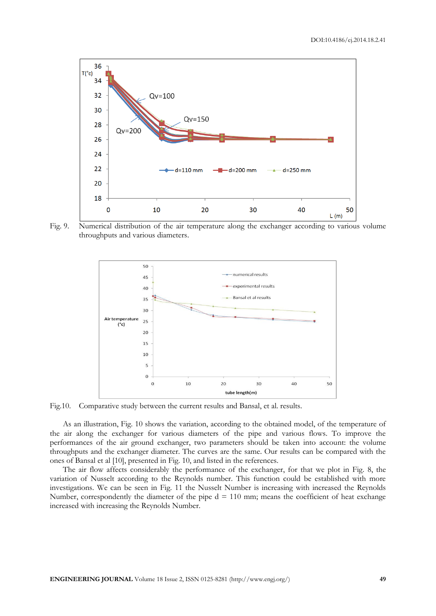

Fig. 9. Numerical distribution of the air temperature along the exchanger according to various volume throughputs and various diameters.



Fig.10. Comparative study between the current results and Bansal, et al. results.

As an illustration, Fig. 10 shows the variation, according to the obtained model, of the temperature of the air along the exchanger for various diameters of the pipe and various flows. To improve the performances of the air ground exchanger, two parameters should be taken into account: the volume throughputs and the exchanger diameter. The curves are the same. Our results can be compared with the ones of Bansal et al [10], presented in Fig. 10, and listed in the references.

The air flow affects considerably the performance of the exchanger, for that we plot in Fig. 8, the variation of Nusselt according to the Reynolds number. This function could be established with more investigations. We can be seen in Fig. 11 the Nusselt Number is increasing with increased the Reynolds Number, correspondently the diameter of the pipe  $d = 110$  mm; means the coefficient of heat exchange increased with increasing the Reynolds Number.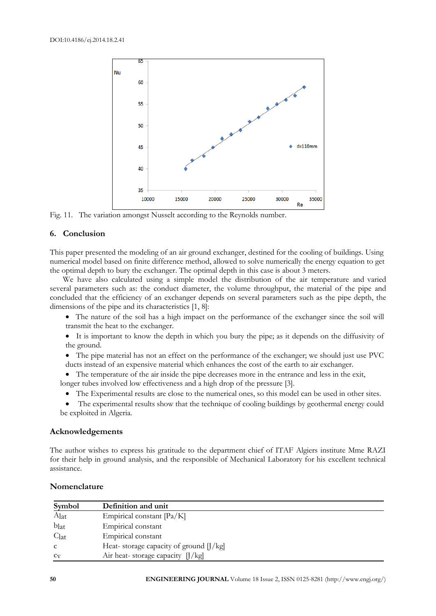

Fig. 11. The variation amongst Nusselt according to the Reynolds number.

# **6. Conclusion**

This paper presented the modeling of an air ground exchanger, destined for the cooling of buildings. Using numerical model based on finite difference method, allowed to solve numerically the energy equation to get the optimal depth to bury the exchanger. The optimal depth in this case is about 3 meters.

We have also calculated using a simple model the distribution of the air temperature and varied several parameters such as: the conduct diameter, the volume throughput, the material of the pipe and concluded that the efficiency of an exchanger depends on several parameters such as the pipe depth, the dimensions of the pipe and its characteristics [1, 8]:

- The nature of the soil has a high impact on the performance of the exchanger since the soil will transmit the heat to the exchanger.
- It is important to know the depth in which you bury the pipe; as it depends on the diffusivity of the ground.
- The pipe material has not an effect on the performance of the exchanger; we should just use PVC ducts instead of an expensive material which enhances the cost of the earth to air exchanger.
- The temperature of the air inside the pipe decreases more in the entrance and less in the exit,

longer tubes involved low effectiveness and a high drop of the pressure [3].

- The Experimental results are close to the numerical ones, so this model can be used in other sites.
- The experimental results show that the technique of cooling buildings by geothermal energy could be exploited in Algeria.

### **Acknowledgements**

The author wishes to express his gratitude to the department chief of ITAF Algiers institute Mme RAZI for their help in ground analysis, and the responsible of Mechanical Laboratory for his excellent technical assistance.

| Symbol           | Definition and unit                                   |
|------------------|-------------------------------------------------------|
| Alat             | Empirical constant [Pa/K]                             |
| blat             | Empirical constant                                    |
| C <sub>lat</sub> | Empirical constant                                    |
|                  | Heat-storage capacity of ground $\frac{1}{\text{kg}}$ |
| $c_V$            | Air heat-storage capacity $\left  \right $ /kg]       |

#### **Nomenclature**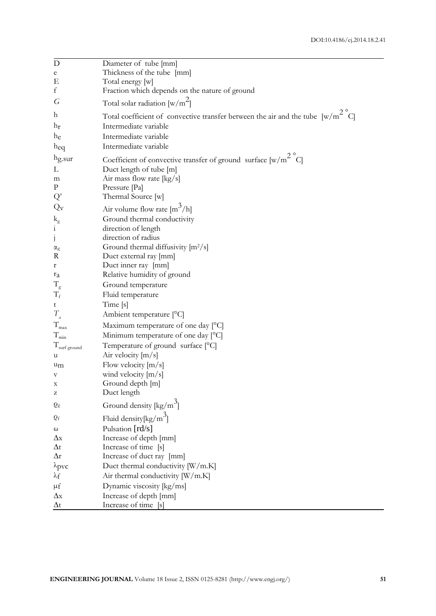| D                                    | Diameter of tube [mm]                                                                    |
|--------------------------------------|------------------------------------------------------------------------------------------|
| e                                    | Thickness of the tube [mm]                                                               |
| Ε                                    | Total energy [w]                                                                         |
| f                                    | Fraction which depends on the nature of ground                                           |
| G                                    | Total solar radiation $[w/m^2]$                                                          |
| h                                    | Total coefficient of convective transfer between the air and the tube $[w/m^2^{\circ}C]$ |
| $h_{r}$                              | Intermediate variable                                                                    |
| he                                   | Intermediate variable                                                                    |
| h <sub>eq</sub>                      | Intermediate variable                                                                    |
| hg.sur                               | Coefficient of convective transfer of ground surface $[w/m^2$ °C                         |
| L                                    | Duct length of tube [m]                                                                  |
| m                                    | Air mass flow rate [kg/s]                                                                |
| $\mathbf{P}$                         | Pressure [Pa]                                                                            |
| Q'                                   | Thermal Source [w]                                                                       |
| $Q_V$                                |                                                                                          |
|                                      | Air volume flow rate $\left[\text{m}^3/\text{h}\right]$<br>Ground thermal conductivity   |
| $\mathbf{k}_{\rm g}$<br>$\mathbf{i}$ | direction of length                                                                      |
| $\mathbf{j}$                         | direction of radius                                                                      |
|                                      | Ground thermal diffusivity $[m^2/s]$                                                     |
| $\alpha_{\rm g}$<br>R                | Duct external ray [mm]                                                                   |
| $\mathbf r$                          | Duct inner ray [mm]                                                                      |
| $r_a$                                | Relative humidity of ground                                                              |
| $T_{\rm g}$                          | Ground temperature                                                                       |
| $T_f$                                | Fluid temperature                                                                        |
| t                                    | Time [s]                                                                                 |
| $T_{_{a}}$                           | Ambient temperature [°C]                                                                 |
| $T_{\rm max}$                        | Maximum temperature of one day [°C]                                                      |
| $T_{\rm min}$                        | Minimum temperature of one day [°C]                                                      |
| T <sub>surf ground</sub>             | Temperature of ground surface [°C]                                                       |
| u                                    | Air velocity $[m/s]$                                                                     |
| u <sub>m</sub>                       | Flow velocity $[m/s]$                                                                    |
| V                                    | wind velocity $[m/s]$                                                                    |
| X                                    | Ground depth [m]                                                                         |
| z                                    | Duct length                                                                              |
| $Q_{\rm g}$                          | Ground density $\lceil \frac{kg}{m^3} \rceil$                                            |
| $\varrho_{\rm f}$                    | Fluid density $\left[\frac{kg}{m}\right]$                                                |
| ω                                    | Pulsation [rd/s]                                                                         |
| $\Delta x$                           | Increase of depth [mm]                                                                   |
| $\Delta t$                           | Increase of time [s]                                                                     |
| $\Delta r$                           | Increase of duct ray [mm]                                                                |
| $\lambda$ pvc                        | Duct thermal conductivity [W/m.K]                                                        |
| $\lambda_{\rm f}$                    | Air thermal conductivity [W/m.K]                                                         |
| $\mu$ f                              | Dynamic viscosity [kg/ms]                                                                |
| $\Delta x$                           | Increase of depth [mm]                                                                   |
| $\Delta t$                           | Increase of time [s]                                                                     |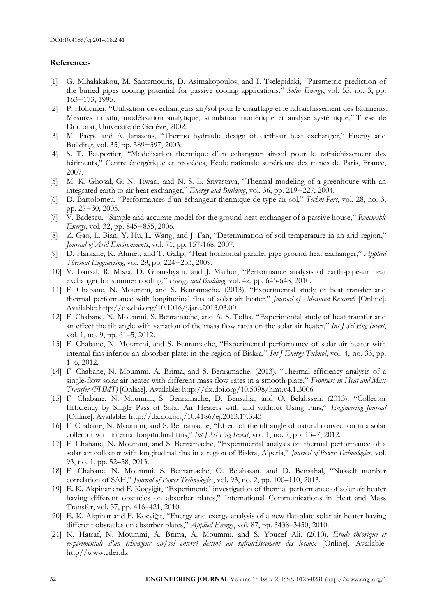#### **References**

- [1] G. Mihalakakou, M. Santamouris, D. Asimakopoulos, and I. Tselepidaki, "Parametric prediction of the buried pipes cooling potential for passive cooling applications," *Solar Energy*, vol. 55, no. 3, pp. 163−173, 1995.
- [2] P. Hollumer, "Utilisation des échangeurs air/sol pour le chauffage et le rafraîchissement des bâtiments. Mesures in situ, modélisation analytique, simulation numérique et analyse systémique," Thèse de Doctorat, Université de Genève, 2002.
- [3] M. Paepe and A. Janssens, "Thermo hydraulic design of earth-air heat exchanger," Energy and Building, vol. 35, pp. 389−397, 2003.
- [4] S. T. Peuportier, "Modélisation thermique d'un échangeur air-sol pour le rafraîchissement des bâtiments," Centre énergétique et procédés, École nationale supérieure des mines de Paris, France, 2007.
- [5] M. K. Ghosal, G. N. Tiwari, and N. S. L. Srivastava, "Thermal modeling of a greenhouse with an integrated earth to air heat exchanger," *Energy and Building*, vol. 36, pp. 219−227, 2004.
- [6] D. Bartolomeu, "Performances d'un échangeur thermique de type air-sol," *Techni Porc*, vol. 28, no. 3, pp. 27−30, 2005.
- [7] V. Badescu, "Simple and accurate model for the ground heat exchanger of a passive house," *Renewable Energy*, vol. 32, pp. 845−855, 2006.
- [8] Z. Gao, L. Bian, Y. Hu, L. Wang, and J. Fan, "Determination of soil temperature in an arid region," *Journal of Arid Environments*, vol. 71, pp. 157-168, 2007.
- [9] D. Harkane, K. Ahmet, and T. Galip, "Heat horizontal parallel pipe ground heat exchanger," *Applied Thermal Engineering*, vol. 29, pp. 224−233, 2009.
- [10] V. Bansal, R. Misra, D. Ghanshyam, and J. Mathur, "Performance analysis of earth-pipe-air heat exchanger for summer cooling," *Energy and Building*, vol. 42, pp. 645-648, 2010.
- [11] F. Chabane, N. Moummi, and S. Benramache. (2013). "Experimental study of heat transfer and thermal performance with longitudinal fins of solar air heater," *Journal of Advanced Research* [Online]. Available: http://dx.doi.org/10.1016/j.jare.2013.03.001
- [12] F. Chabane, N. Moummi, S. Benramache, and A. S. Tolba, "Experimental study of heat transfer and an effect the tilt angle with variation of the mass flow rates on the solar air heater," *Int J Sci Eng Invest*, vol. 1, no. 9, pp. 61–5, 2012.
- [13] F. Chabane, N. Moummi, and S. Benramache, "Experimental performance of solar air heater with internal fins inferior an absorber plate: in the region of Biskra," *Int J Energy Technol*, vol. 4, no. 33, pp. 1–6, 2012.
- [14] F. Chabane, N. Moummi, A. Brima, and S. Benramache. (2013). "Thermal efficiency analysis of a single-flow solar air heater with different mass flow rates in a smooth plate," *Frontiers in Heat and Mass Transfer (FHMT)* [Online]. Available: http://dx.doi.org/10.5098/hmt.v4.1.3006
- [15] F. Chabane, N. Moummi, S. Benramache, D. Bensahal, and O. Belahssen. (2013). "Collector Efficiency by Single Pass of Solar Air Heaters with and without Using Fins," *Engineering Journal* [Online]. Available: http://dx.doi.org/10.4186/ej.2013.17.3.43
- [16] F. Chabane, N. Moummi, and S. Benramache, "Effect of the tilt angle of natural convection in a solar collector with internal longitudinal fins," *Int J Sci Eng Invest*, vol. 1, no. 7, pp. 13–7, 2012.
- [17] F. Chabane, N. Moummi, and S. Benramache, "Experimental analysis on thermal performance of a solar air collector with longitudinal fins in a region of Biskra, Algeria," *Journal of Power Technologies*, vol. 93, no. 1, pp. 52–58, 2013.
- [18] F. Chabane, N. Moummi, S. Benramache, O. Belahssan, and D. Bensahal, "Nusselt number correlation of SAH," *Journal of Power Technologies*, vol. 93, no. 2, pp. 100–110, 2013.
- [19] E. K. Akpinar and F. Koçyiğit, "Experimental investigation of thermal performance of solar air heater having different obstacles on absorber plates," International Communications in Heat and Mass Transfer, vol. 37, pp. 416–421, 2010.
- [20] E. K. Akpinar and F. Kocyiğit, "Energy and exergy analysis of a new flat-plate solar air heater having different obstacles on absorber plates," *Applied Energy*, vol. 87, pp. 3438–3450, 2010.
- [21] N. Hatraf, N. Moummi, A. Brima, A. Moummi, and S. Youcef Ali. (2010). *Etude théorique et expérimentale d'un échangeur air/sol enterré destiné au rafraichissement des locaux* [Online]. Available: http//www.cder.dz